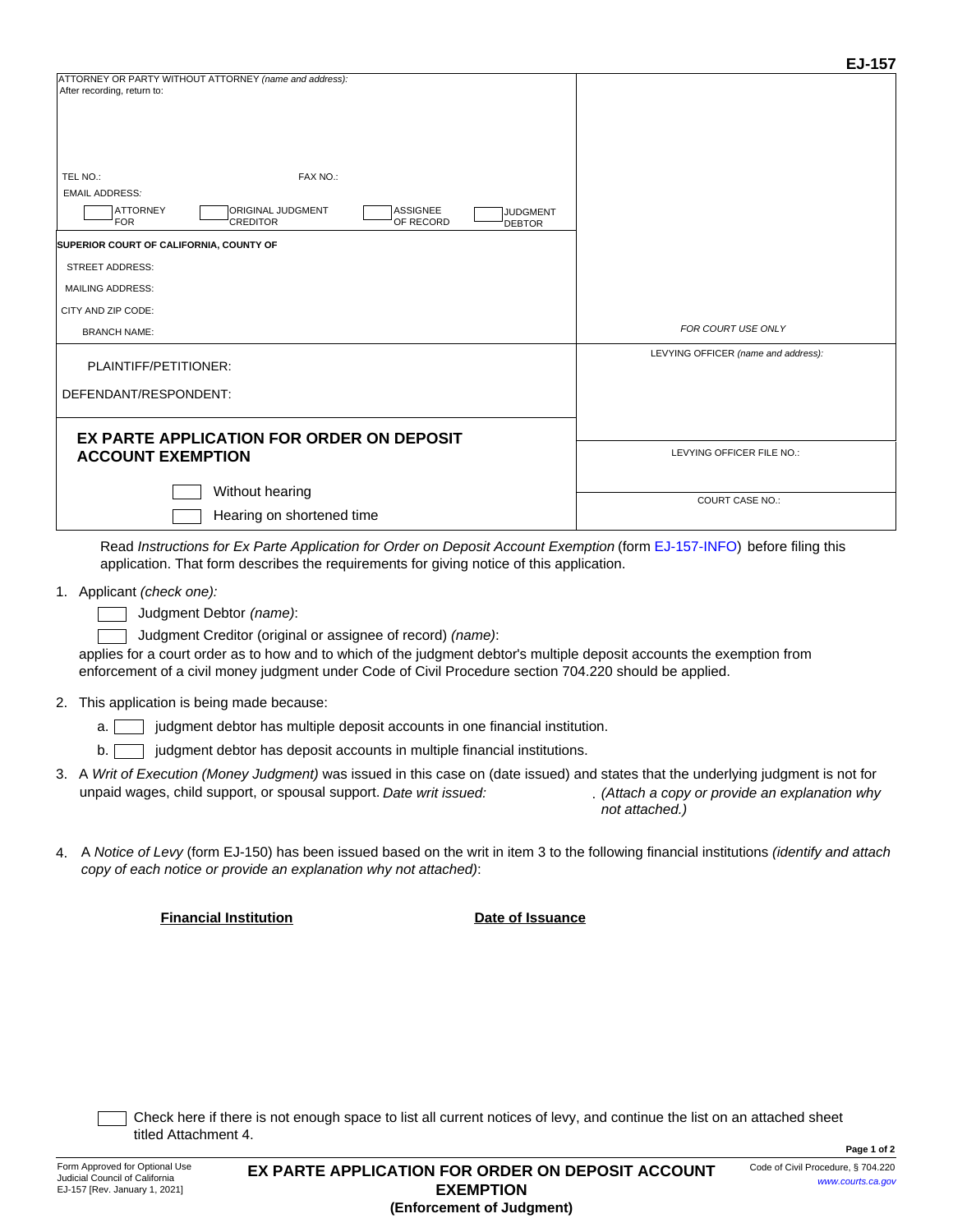| TEL NO.:<br><b>EMAIL ADDRESS:</b>           | FAX NO.:                                                                                                                                                                                                                                                                                                                                                                                                                                                                                                                                                                                                                                    |                              |                                  |                                                                                                                                                                                                                                                                                                                                                                                                                                                                                            |
|---------------------------------------------|---------------------------------------------------------------------------------------------------------------------------------------------------------------------------------------------------------------------------------------------------------------------------------------------------------------------------------------------------------------------------------------------------------------------------------------------------------------------------------------------------------------------------------------------------------------------------------------------------------------------------------------------|------------------------------|----------------------------------|--------------------------------------------------------------------------------------------------------------------------------------------------------------------------------------------------------------------------------------------------------------------------------------------------------------------------------------------------------------------------------------------------------------------------------------------------------------------------------------------|
| <b>ATTORNEY</b><br><b>FOR</b>               | ORIGINAL JUDGMENT<br>CREDITOR                                                                                                                                                                                                                                                                                                                                                                                                                                                                                                                                                                                                               | <b>ASSIGNEE</b><br>OF RECORD | <b>JUDGMENT</b><br><b>DEBTOR</b> |                                                                                                                                                                                                                                                                                                                                                                                                                                                                                            |
|                                             | <b>SUPERIOR COURT OF CALIFORNIA, COUNTY OF</b>                                                                                                                                                                                                                                                                                                                                                                                                                                                                                                                                                                                              |                              |                                  |                                                                                                                                                                                                                                                                                                                                                                                                                                                                                            |
| STREET ADDRESS:                             |                                                                                                                                                                                                                                                                                                                                                                                                                                                                                                                                                                                                                                             |                              |                                  |                                                                                                                                                                                                                                                                                                                                                                                                                                                                                            |
| <b>MAILING ADDRESS:</b>                     |                                                                                                                                                                                                                                                                                                                                                                                                                                                                                                                                                                                                                                             |                              |                                  |                                                                                                                                                                                                                                                                                                                                                                                                                                                                                            |
| CITY AND ZIP CODE:                          |                                                                                                                                                                                                                                                                                                                                                                                                                                                                                                                                                                                                                                             |                              |                                  |                                                                                                                                                                                                                                                                                                                                                                                                                                                                                            |
| <b>BRANCH NAME:</b>                         |                                                                                                                                                                                                                                                                                                                                                                                                                                                                                                                                                                                                                                             |                              |                                  | FOR COURT USE ONLY                                                                                                                                                                                                                                                                                                                                                                                                                                                                         |
|                                             | PLAINTIFF/PETITIONER:                                                                                                                                                                                                                                                                                                                                                                                                                                                                                                                                                                                                                       |                              |                                  | LEVYING OFFICER (name and address):                                                                                                                                                                                                                                                                                                                                                                                                                                                        |
| DEFENDANT/RESPONDENT:                       |                                                                                                                                                                                                                                                                                                                                                                                                                                                                                                                                                                                                                                             |                              |                                  |                                                                                                                                                                                                                                                                                                                                                                                                                                                                                            |
|                                             | EX PARTE APPLICATION FOR ORDER ON DEPOSIT                                                                                                                                                                                                                                                                                                                                                                                                                                                                                                                                                                                                   |                              |                                  |                                                                                                                                                                                                                                                                                                                                                                                                                                                                                            |
|                                             | <b>ACCOUNT EXEMPTION</b>                                                                                                                                                                                                                                                                                                                                                                                                                                                                                                                                                                                                                    | LEVYING OFFICER FILE NO.:    |                                  |                                                                                                                                                                                                                                                                                                                                                                                                                                                                                            |
|                                             | Without hearing                                                                                                                                                                                                                                                                                                                                                                                                                                                                                                                                                                                                                             |                              |                                  | <b>COURT CASE NO.:</b>                                                                                                                                                                                                                                                                                                                                                                                                                                                                     |
|                                             | Hearing on shortened time                                                                                                                                                                                                                                                                                                                                                                                                                                                                                                                                                                                                                   |                              |                                  |                                                                                                                                                                                                                                                                                                                                                                                                                                                                                            |
| 1. Applicant (check one):<br>2.<br>a.<br>b. | application. That form describes the requirements for giving notice of this application.<br>Judgment Debtor (name):<br>Judgment Creditor (original or assignee of record) (name):<br>enforcement of a civil money judgment under Code of Civil Procedure section 704.220 should be applied.<br>This application is being made because:<br>judgment debtor has multiple deposit accounts in one financial institution.<br>judgment debtor has deposit accounts in multiple financial institutions.<br>unpaid wages, child support, or spousal support. Date writ issued:<br>copy of each notice or provide an explanation why not attached): |                              |                                  | applies for a court order as to how and to which of the judgment debtor's multiple deposit accounts the exemption from<br>3. A Writ of Execution (Money Judgment) was issued in this case on (date issued) and states that the underlying judgment is not for<br>. (Attach a copy or provide an explanation why<br>not attached.)<br>A <i>Notice of Levy</i> (form EJ-150) has been issued based on the writ in item 3 to the following financial institutions <i>(identify and attach</i> |
|                                             | <b>Financial Institution</b>                                                                                                                                                                                                                                                                                                                                                                                                                                                                                                                                                                                                                |                              | Date of Issuance                 |                                                                                                                                                                                                                                                                                                                                                                                                                                                                                            |
|                                             | titled Attachment 4.                                                                                                                                                                                                                                                                                                                                                                                                                                                                                                                                                                                                                        |                              |                                  | Check here if there is not enough space to list all current notices of levy, and continue the list on an attached sheet                                                                                                                                                                                                                                                                                                                                                                    |

ATTORNEY OR PARTY WITHOUT ATTORNEY *(name and address):*

After recording, return to: